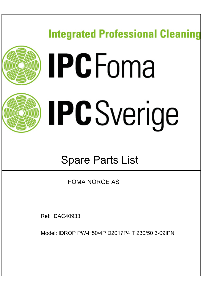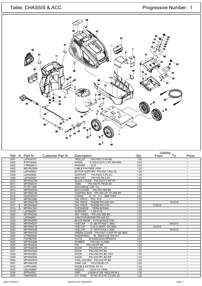# Table: CHASSIS & ACC. Progressive Number: 1



|                                 | Ref. K Part N.   | Customer Part N. | Description                               | Qty  | From    | valiulty.<br>To | Price                    |
|---------------------------------|------------------|------------------|-------------------------------------------|------|---------|-----------------|--------------------------|
| 0001                            | LAFN40761        |                  | <b>TROLLEY</b><br>PW-H50/7.5-4W BK.       | 1,00 |         |                 | --                       |
| 0002                            | RTRT40045        |                  | <b>WHEEL</b><br>D.300-D.25 FLY-IPC BK/GRN | 2,00 |         |                 | $\overline{\phantom{a}}$ |
| 0003                            | <b>VTRS09813</b> |                  | <b>WASHER</b><br>D.25                     | 4,00 |         |                 | $\overline{a}$           |
| 0005                            | <b>MEVR20906</b> |                  | <b>CABLE FASTNER KSM</b>                  | 1,00 |         |                 | --                       |
| 0006                            | LAFN40683        |                  | MOTOR SUPPORT PW-H35 7.5Hp ZC.            | 1,00 |         |                 | $\overline{\phantom{a}}$ |
| 0008                            | LAFN40685        |                  | <b>SUPPORT</b><br>PW-H35/7.5 PS.ZC.       | 1,00 |         |                 | $\overline{\phantom{a}}$ |
| 0009                            | LAFN40835        |                  | <b>PW-H35 PM.2 ZC</b><br><b>BRACKET</b>   | 1,00 |         |                 | --                       |
| 0010                            | <b>MPVR40704</b> |                  | BLACK COVER PW-H35/7.5 INF.PP             | 1,00 |         |                 | $\overline{a}$           |
| 0011                            | <b>MPVR40791</b> |                  | <b>TANK</b><br>PW-H50 PI. PEHD BK.        | 1.00 |         |                 | $\overline{\phantom{a}}$ |
| 0012                            | <b>PVVR11806</b> |                  | DISCHARGE CAP FLL                         | 2,00 |         |                 | $\overline{\phantom{a}}$ |
| 0013                            | MPVR40540        |                  | PW-H35 ABS BK.<br><b>BOX COVER</b>        | 1,00 |         |                 | $\overline{\phantom{a}}$ |
| $\overline{00}$ 14              | MPVR40784        |                  | CONTROL BOX PW-H35 C/F.TH ABS BK.         | 1,00 |         |                 | --                       |
| 0015                            | GUGO25527        |                  | O-RING<br>D. 14 X 3 NBR 70SH              | 2,00 |         |                 | $\overline{a}$           |
| 0016                            | <b>MPVR23482</b> |                  | TEC. TUV<br><b>TAIL PIECE</b>             | 1,00 |         |                 | --                       |
| 0017                            | MPVR40776        |                  | <b>TAIL PIECE</b><br>THERM.PW-H28 ADV.    | 1,00 |         | 10/2016         | --                       |
| $\overline{\mathbf{s}}$<br>0017 | MPVR40843        |                  | <b>TAIL PIECE</b><br>THERM.PW-H PL        | 1,00 | 11/2016 |                 | $\overline{\phantom{a}}$ |
| 0018<br>-S                      | MPVR41903        |                  | <b>THICKNESS</b><br>TERM.IM.PA66          | 1,00 |         |                 | --                       |
| 0019                            | LAFN46067        |                  | <b>SUPPORT</b><br>L.60 P176               | 2,00 |         |                 | --                       |
| 0020                            | <b>MPVR40542</b> |                  | <b>ANT. PANEL</b><br>PW-H35 ABS BK.       | 1,00 |         |                 | $\overline{\phantom{a}}$ |
| 0021                            | LAFN40561        |                  | JUNCTION BOARD PW-H35 ZC.                 | 1,00 |         |                 | $\overline{a}$           |
| 0022                            | <b>MPVR49057</b> |                  | <b>BLACK KNOB</b><br>P176-M.RACE PA6      | 3,00 |         |                 | --                       |
| 0023                            | <b>MPVR40537</b> |                  | <b>HUB CAP</b><br>D. 260 RT/H35 V.368C    | 2,00 |         | 09/2015         | --                       |
| 0023                            | MPVR40734        |                  | <b>HUB CAP</b><br>D.50 G-48/IPC GR.368C   | 4,00 | 10/2015 |                 | --                       |
| 0023                            | MPVR40535        |                  | <b>HUB CAP</b><br>D. 305 RT/H35 V.368C    | 2,00 |         | 09/2015         | $\overline{\phantom{a}}$ |
| 0024                            | MPVR40702        |                  | GREEN COVER PW-H35/7.5 SUP.PP GR.368C     | 1,00 |         |                 | $\overline{\phantom{a}}$ |
| 0024                            | <b>VTVR40048</b> |                  | <b>HANDWHEEL</b><br>M 5MAX10 B.193/18 P   | 1,00 |         |                 | --                       |
| 0024                            | <b>FSVR62795</b> |                  | <b>PLATE</b><br>DI FISSAGGIO RPD0074      | 2,00 |         |                 | $\overline{\phantom{a}}$ |
| 0025                            | MPVR40485        |                  | <b>RUBBER</b><br>PW-H35 15-20BK.          | 1,00 |         |                 | --                       |
| 0025                            | MPVR40534        |                  | PW-H35 PP BK.<br>PIN                      | 2,00 |         |                 | $\overline{a}$           |
| 0026                            | MPVR40539        |                  | <b>DOOR</b><br>PW-H35 PPL NT.             | 1,00 |         |                 | $\overline{\phantom{a}}$ |
| 0027                            | MPVR40660        |                  | PW-H35 PPL BK.<br><b>DOOR</b>             | 1,00 |         |                 | $\overline{\phantom{a}}$ |
| 0028                            | MPVR40661        |                  | <b>DOOR</b><br>PW-H35 PPL BK. PST         | 1,00 |         |                 | $\overline{\phantom{a}}$ |
| 0029                            | MPVR40532        |                  | <b>DOOR</b><br>PW-H35 PPL BK.INF.         | 1,00 |         |                 | $\overline{\phantom{a}}$ |
| 0030                            | MPVR40533        |                  | TOOL HOLDER PW-H35 PP BK.                 | 1,00 |         |                 | $\overline{\phantom{a}}$ |
| 0031                            | <b>MPVR40187</b> |                  | <b>TANK CAP</b><br>P215 PEHD C/F.         | 2,00 |         |                 | $\overline{\phantom{a}}$ |
| 0032                            | LCPR12983        |                  | DOUBLE EXTENS. PD 70                      | 1,00 |         |                 | --                       |
| 0033                            | <b>UGLN49987</b> |                  | <b>NOZZLE</b><br>LECH 1/4 15045           | 1,00 |         |                 | --                       |
| 0034                            | IPPR40020        |                  | <b>GRIP</b><br>G 6000+P.330 +M22 SW.M V   | 1,00 |         |                 | --                       |
| 0035                            | <b>TBAP44379</b> |                  | R1 MT 20 5/16" C/2 IRV ZC<br>H.P. HOSE    | 1.00 |         |                 | $\overline{a}$           |

Date: 07/02/2017 **Date: 07/02/2017** Page: 1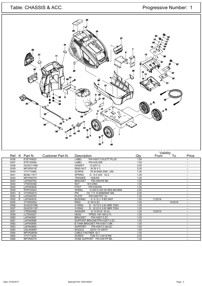# Table: CHASSIS & ACC. Progressive Number: 1



|                      | Ref. K Part N.   | Customer Part N. | Description                           | Qty  | From    | valldlly.<br>To | Price                    |
|----------------------|------------------|------------------|---------------------------------------|------|---------|-----------------|--------------------------|
| 0036                 | ETET40820        |                  | LABEL<br>PW-H50/7.5 ELETT.PLUS        | 1,00 |         |                 | $\overline{\phantom{a}}$ |
| 0037                 | ETET40556        |                  | LABEL<br>PW-H35 IDR.                  | 1.00 |         |                 | --                       |
| 0038                 | GUGO11489        |                  | <b>GASKET</b><br>D.22X1.5             | 2,00 |         |                 | $\overline{\phantom{a}}$ |
| 0039                 | <b>MPVR20187</b> |                  | <b>RING NUT</b><br>M 39 X 3           | 2,00 |         |                 | $\overline{\phantom{a}}$ |
| 0040                 | <b>VTVT14480</b> |                  | TE M 8X80 ZINC, UNI<br><b>SCREW</b>   | 1.00 |         |                 | $\overline{\phantom{a}}$ |
| 0041                 | <b>MLML11917</b> |                  | <b>SPRING</b><br>D. 14.5 X24 X2.2     | 1.00 |         |                 | --                       |
| 0042                 | MPVR40751        |                  | H28/4W<br><b>TRIGGER</b>              | 1,00 |         |                 | $\overline{\phantom{a}}$ |
| 0043                 | LAFN40762        |                  | PW-H50/4W BK.<br><b>BRACKET</b>       | 1,00 |         |                 | $\overline{\phantom{a}}$ |
| 0044                 | <b>VTDD00492</b> |                  | M <sub>8</sub> ZINC<br><b>NUT</b>     | 1,00 |         |                 | -−                       |
| 0045                 | LAFN40609        |                  | <b>FOOT</b><br>PW-H35/4W              | 1,00 |         |                 | $\overline{\phantom{a}}$ |
| 0049                 | RTRT40043        |                  | WHEEL<br>D.250-D.25X 65 RES BK/GRN    | 2,00 |         |                 | $\overline{\phantom{a}}$ |
| 0053<br>S            | <b>VTVR40014</b> |                  | CH. 7 X 10 M4M/M4F NIK.<br><b>PIN</b> | 2,00 |         |                 | $\sim$                   |
| 0054<br>S            | LAFN40763        |                  | <b>PLATE</b><br>PW-H28 POT. IX        | 1,00 |         |                 | $\overline{\phantom{a}}$ |
| <sub>S</sub><br>0055 | LAFN40916        |                  | D. 6-9 L=8 BZ.SINT.<br><b>BUSHING</b> | 1,00 | 11/2016 |                 | $\overline{\phantom{a}}$ |
| 0055                 | <b>VTVR40053</b> |                  | <b>RING</b><br>D. 6X 6 ZC.            | 1,00 |         | 10/2016         | --                       |
| 0056                 | GUGO01056        |                  | D. 18.72 X 2.62 NBR 70SH<br>O-RING    | 1,00 |         |                 | -−                       |
| 0057                 | GUGO01197        |                  | O-RING<br>D. 22.22 X 2.62 NBR 70SH    | 1,00 |         |                 | $\overline{\phantom{a}}$ |
| 0057                 | <b>VTRS40960</b> |                  | <b>WASHER</b><br>D.13.5X19 X4 AL.     | 1,00 | 12/2015 |                 | $\overline{\phantom{a}}$ |
| 0059                 | <b>LCTE40027</b> |                  | <b>HEAD</b><br>TPR25 1/4F 045 D.YI.   | 1,00 |         |                 | $\overline{\phantom{a}}$ |
| 0060                 | LAFN40687        |                  | PW-H35/7.5 ZC.<br><b>BRACKET</b>      | 1,00 |         |                 | $\overline{\phantom{a}}$ |
| 0061                 | LAFN40686        |                  | SUPPORT BRACKETPW-H35/7.5 ZC.         | 1.00 |         |                 | $\overline{\phantom{a}}$ |
| 0062                 | LAFN40695        |                  | B.TANK BRACKET PW-H35/7.5 BK.         | 1,00 |         |                 | $\overline{\phantom{a}}$ |
| 0063                 | LAFN40684        |                  | <b>SUPPORT</b><br>PW-H35/7.5 AN.ZC.   | 1,00 |         |                 | --                       |
| 0064                 | <b>UGLN49997</b> |                  | <b>NOZZLE</b><br>LECH 1/4 25075       | 1,00 |         |                 | $\overline{\phantom{a}}$ |
| 0064                 | <b>MPVR28554</b> |                  | CABLE FASTNER ELT                     | 1,00 |         |                 | $\overline{\phantom{m}}$ |
| 0064                 | <b>VTVT13234</b> |                  | TCB-TC 3.5X19 NIK<br><b>SCREW</b>     | 2,00 |         |                 | $\overline{\phantom{a}}$ |
| 0066                 | MPVR40701        |                  | HOSE SUPPORT PW-H35 PP BK.            | 1.00 |         |                 | --                       |
|                      |                  |                  |                                       |      |         |                 |                          |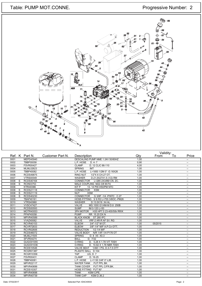Table: PUMP MOT.CONNE. Table: PUMP MOT.CONNE.



|      |                         | Ref. K Part N.<br>Customer Part N. | Description                                 | Qty  | <b>From</b> | Valiully.<br>To | Price                    |
|------|-------------------------|------------------------------------|---------------------------------------------|------|-------------|-----------------|--------------------------|
| 0001 |                         | MEPD45940                          | DESCALING PUMP NME 1 24V 50/60HZ            | 1.00 |             |                 | $\overline{\phantom{a}}$ |
| 0002 |                         | <b>TBBP00058</b>                   | L.P. HOSE<br>$D.4 - 7$                      | 0.90 |             |                 | $\overline{\phantom{a}}$ |
| 0003 |                         | <b>FSVR00427</b>                   | <b>CLAMP</b><br>D. 12 CLIC 66-110           | 4.00 |             |                 | $\overline{\phantom{a}}$ |
| 0004 |                         | <b>MLML02623</b>                   | <b>SPRING</b><br><b>IMT</b>                 | 1,00 |             |                 | $\overline{\phantom{a}}$ |
| 0005 |                         | <b>TBBP40082</b>                   | L=1850 1/2M 0° -D.16X26<br>L.P. HOSE        | 1.00 |             |                 | $\overline{\phantom{a}}$ |
| 0006 |                         | <b>RCDS49875</b>                   | 1/2"X 6 CH.27 OT.<br><b>RING NUT</b>        | 1,00 |             |                 | $\overline{\phantom{a}}$ |
| 0007 |                         | <b>VTRS00549</b>                   | <b>WASHER</b><br>D.21,5X27X1.5 (1/2) RM     | 1.00 |             |                 | $\overline{\phantom{a}}$ |
| 0008 | - S                     | <b>RCDS40164</b>                   | CONNECTOR L=285 2X3/8M CN. ZC.              | 1,00 |             |                 | $\overline{\phantom{a}}$ |
| 0008 | $\overline{\mathbf{s}}$ | <b>RCIN03753</b>                   | MALE COUPLING M22-3/8 M-FA                  | 1,00 |             |                 | $\overline{\phantom{a}}$ |
| 0008 |                         | <b>KTRI40386</b>                   | KITP<br>13-14 PW-H50/PM NTC                 | 1,00 |             |                 | $\overline{\phantom{a}}$ |
| 0008 | -S                      | <b>RCDS21118</b>                   | <b>CONNECTOR</b><br><b>KSM</b>              | 1,00 |             |                 | $\overline{\phantom{a}}$ |
| 0008 | - S                     | RCDS21119                          | <b>KSM</b><br><b>NUT</b>                    | 1,00 |             |                 | $\overline{\phantom{a}}$ |
| 0008 | $\overline{s}$          | <b>RCDS40230</b>                   | CONNECTOR G 3/8F-1/4-P/NTC C.27             | 1,00 |             |                 | $\overline{\phantom{a}}$ |
| 0009 |                         | <b>TBAP40161</b>                   | HOSE-FITTING 3/8 R2 L=755 3/8OC.-PM26       | 1.00 |             |                 | $\overline{\phantom{a}}$ |
| 0010 |                         | <b>VTRS40960</b>                   | <b>WASHER</b><br>D.13.5X19 X4 AL.           | 1,00 |             |                 | $\overline{\phantom{a}}$ |
| 0011 |                         | <b>VVSC47427</b>                   | <b>VALVE</b><br>MG 1000 G1/4M-M D.8 250B    | 1.00 |             |                 | $\overline{\phantom{a}}$ |
| 0012 |                         | <b>RCDS00593</b>                   | <b>SUMP</b><br>IM 0-120 L=50                | 1,00 |             |                 | $\overline{\phantom{a}}$ |
| 0013 |                         | MOTR40053                          | 3PH MOTOR   H35 HP7.5 23-400/50k RR/K       | 1.00 |             |                 | $\overline{\phantom{a}}$ |
| 0014 |                         | PPAP40058                          | <b>PUMP</b><br>RR 15.20 DX N                | 1,00 |             |                 | $\overline{\phantom{a}}$ |
| 0015 |                         | MPVR40589                          | BLACK KNOB ST 260 IPC                       | 1,00 |             |                 | $\overline{\phantom{a}}$ |
| 0015 |                         | <b>VVAZ40062</b>                   | <b>VALVE</b><br>VRF-2 AR-R AF S/I. RG       | 1,00 |             |                 | $\overline{\phantom{a}}$ |
| 0016 |                         | <b>RCVR40153</b>                   | 3/4"-1/2" M OT.<br><b>ELBOW</b>             | 1.00 | 05/2015     |                 | $\overline{\phantom{a}}$ |
| 0017 |                         | <b>RCVR72833</b>                   | <b>ELBOW</b><br>3/8"-1/4" M/F A.P.Cn OTT.   | 1,00 |             |                 | $\overline{\phantom{a}}$ |
| 0018 |                         | <b>RCVR02606</b>                   | <b>REDUCTION</b><br>1/2-1/4 M/F             | 1.00 |             |                 | $\overline{\phantom{a}}$ |
| 0019 |                         | <b>RCDS46072</b>                   | VALVE BODY N/R 1/4F-1/4 P176 OT             | 1,00 |             |                 | $\overline{\phantom{a}}$ |
| 0020 |                         | <b>MLML21505</b>                   | <b>SPRING</b><br>D. 8 X5 X0.3               | 1.00 |             |                 | $\overline{\phantom{a}}$ |
| 0021 |                         | <b>SFVR04274</b>                   | <b>BALL</b><br>D. 7/32                      | 1,00 |             |                 | $\overline{\phantom{a}}$ |
| 0022 |                         | GUGO01055                          | O-RING<br>D. 5.28 X 1.78 VIT 70SH           | 1.00 |             |                 | $\overline{\phantom{a}}$ |
| 0023 |                         | GUGO01036                          | O-RING<br>D. 10.82 X 1.78 NBR 70SH          | 1,00 |             |                 | $\overline{\phantom{a}}$ |
| 0024 |                         | <b>RCDS10546</b>                   | <b>VALVE SEAT</b><br>1/4M + PG, D.3-7.5 OTT | 1.00 |             |                 | $\overline{\phantom{a}}$ |
| 0025 |                         | <b>RCGR01387</b>                   | PLASITC BALL D.104                          | 1,00 |             |                 | $\overline{\phantom{a}}$ |
| 0026 |                         | <b>RCGR10358</b>                   | <b>TAP</b><br><b>UG. D. 7</b>               | 1,00 |             |                 | $\overline{\phantom{a}}$ |
| 0027 |                         | FSVR00431                          | <b>CLAMP</b><br>D. 16-25                    | 1,00 |             |                 | $\overline{\phantom{a}}$ |
| 0028 |                         | TBBP40081                          | L.P. HOSE<br>L=1130 3/4F 0°-LIB.            | 1,00 |             |                 | $\overline{\phantom{a}}$ |
| 0029 |                         | <b>MPVR22117</b>                   | WATER TANK FUT PPL BK.                      | 1,00 |             |                 | $\overline{\phantom{a}}$ |
| 0030 |                         | <b>MPVR40699</b>                   | TANK COVER FUT PPL C/FR.BK.                 | 1,00 |             |                 | $\overline{\phantom{a}}$ |
| 0031 |                         | RCDS10357                          | HOSE FITTING FUT 90°                        | 1.00 |             |                 | $\overline{\phantom{a}}$ |
| 0033 |                         | MPVR40698                          | <b>TANK</b><br>KSM C/PE.                    | 1,00 |             |                 | $\overline{\phantom{a}}$ |
| 0034 |                         | MPVR40739                          | <b>TANK CAP</b><br><b>KSM D.36.2</b>        | 1.00 |             |                 | $\overline{\phantom{a}}$ |

Date: 07/02/2017 Page: 2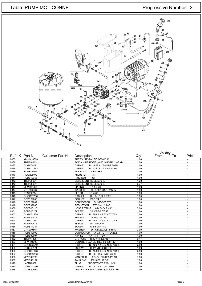Table: PUMP MOT.CONNE. Table: PUMP MOT.CONNE.



|      | Ref. K Part N.   | Customer Part N. | Description                               | Qty  | From | Valiuly.<br>To | Price                    |
|------|------------------|------------------|-------------------------------------------|------|------|----------------|--------------------------|
| 0035 | MNMN18650        |                  | PRESSURE GAUGE 0-300 D.40                 | 1,00 |      |                | --                       |
| 0036 | TBAP40113        |                  | POLYAMIDE HOSE L=420 1/4F GR.-1/8F MN.    | 1,00 |      |                | $\overline{\phantom{a}}$ |
| 0037 | GUGO08071        |                  | O-RING<br>D. 4.48 X 1.78 NBR 70SH         | 1,00 |      |                | $\overline{a}$           |
| 0038 | GUGO12183        |                  | O-RING<br>D. 23.4 X 3.53 VIT 70SH         | 1,00 |      |                | --                       |
| 0039 | <b>RCGR08069</b> |                  | <b>TAP BODY</b><br>DET. PRT               | 1,00 |      |                | --                       |
| 0040 | <b>RCGR08070</b> |                  | <b>ADJUSTER</b><br><b>PRT</b>             | 1,00 |      |                | --                       |
| 0041 | RCDS10356        |                  | <b>RING NUT</b><br><b>FUT</b>             | 1,00 |      |                | $\overline{\phantom{a}}$ |
| 0042 | TBBP00051        |                  | DETERGENT HOSE D. 6-12                    | 1,20 |      |                | --                       |
| 0042 | <b>TBBP00051</b> |                  | DETERGENT HOSE D. 6-12                    | 0.77 |      |                | --                       |
| 0043 | <b>MLML08068</b> |                  | <b>SPRING</b><br>D.1,5 L.23               | 1,00 |      |                | $\overline{a}$           |
| 0044 | <b>VTRS00548</b> |                  | D.17,5X23X1,5 (3/8)RM<br><b>WASHER</b>    | 1,00 |      |                | --                       |
| 0045 | FTAC30214        |                  | <b>FILTER</b><br>D.15X67                  | 1,00 |      |                | --                       |
| 0046 | GUGO37736        |                  | D. 10-19 X 5 70SH<br><b>GASKET</b>        | 1,00 |      |                | $\overline{a}$           |
| 0047 | <b>RCVR29600</b> |                  | <b>PTC 3/4 F</b><br><b>SOCKET</b>         | 1,00 |      |                | --                       |
| 0048 | <b>RCVR29602</b> |                  | CONNECTOR<br>D. 1/2"-5/8" PTC             | 1,00 |      |                | --                       |
| 0049 | <b>RCVR37806</b> |                  | <b>REDUCTION</b><br>PTC 3/4-1/2 M/F       | 1,00 |      |                | --                       |
| 0050 | RCVR40113        |                  | HOSE FITTING 1/8 M D. 5-7 NIK             | 2,00 |      |                | $\overline{a}$           |
| 0051 | RCDS40172        |                  | <b>SCREW</b><br>3/8 VRF-2 OT 4F.          | 1,00 |      |                | --                       |
| 0052 | GUGO21339        |                  | O-RING<br>D. 29.82 X 2.62 VIT 70SH        | 1,00 |      |                | --                       |
| 0053 | <b>RCDS25578</b> |                  | IP WW141 OT.<br><b>BUSHING</b>            | 1,00 |      |                | --                       |
| 0054 | GUGO21337        |                  | O-RING<br>D. 25.07 X 2.62 VIT 70SH        | 1,00 |      |                | --                       |
| 0055 | <b>RCVR00573</b> |                  | <b>ELBOW</b><br>1/4" M/F A10              | 1,00 |      |                | --                       |
| 0056 | <b>RCDS14384</b> |                  | <b>SCREW</b><br>G 3/8 VSP 180             | 1,00 |      |                | --                       |
| 0057 | <b>VTRS00548</b> |                  | <b>WASHER</b><br>D.17,5X23X1,5 (3/8)RM    | 3,00 |      |                | $\overline{a}$           |
| 0058 | RCDS40692        |                  | <b>CONNECTOR</b><br>O. 3/8 - G1/4F L=28.5 | 1,00 |      |                | --                       |
| 0059 | <b>RCDS00607</b> |                  | $1/4 - 1/4$<br><b>NIPPLE</b><br><b>SV</b> | 1,00 |      |                | --                       |
| 0062 | TBBP17436        |                  | D.12-14 RILSAN NT.<br>L.P. HOSE           | 0,17 |      |                | --                       |
| 0063 | <b>MFVR21309</b> |                  | COUNTERFLANGE MEC 90-100-112              | 1,00 |      |                | $\overline{\phantom{a}}$ |
| 0064 | GUGO03510        |                  | O-RING<br>D. 12.37 X 2.62 NBR 70SH        | 2,00 |      |                | --                       |
| 0065 | RCDS40171        |                  | <b>SCREW</b><br>G 1/2 VRF-2 OT. 2F.       | 1,00 |      |                | --                       |
| 0066 | GUGO01048        |                  | O-RING<br>D. 15.88 X 2.62 NBR 70SH        | 2,00 |      |                | $\overline{a}$           |
| 0067 | GUGO89386        |                  | O-RING<br>D. 30 X 5 NBR 70SH              | 1,00 |      |                | $\overline{\phantom{a}}$ |
| 0068 | MPVR40700        |                  | <b>MANIFOLD</b><br>A.CLCL PW-H35 PP NT.   | 1,00 |      |                | --                       |
| 0069 | MPVR40187        |                  | P215 PEHD C/F.<br><b>TANK CAP</b>         | 1,00 |      |                | --                       |
| 0070 | LAFN40832        |                  | "U" SIST.NTC PW-H INX<br><b>PLUG</b>      | 1,00 |      |                | --                       |
| 0075 | GUGO27030        |                  | O-RING<br>D. 6 X3 VIT 70SH                | 1,00 |      |                | --                       |
| 0076 | GUVR40089        |                  | ANTI-EXTR.RING D. 6.6X11.9X1.5 PTFE       | 1,00 |      |                | $\overline{\phantom{a}}$ |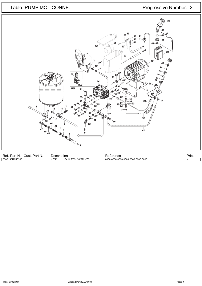Table: PUMP MOT.CONNE. Table: PUMP MOT.CONNE. 6 62 B  $-19$ <br> $-20$ <br> $-22$ 23 24 10  $12$  $\frac{1}{42}$ B **CALLAN** 

| Ref<br>Part N.<br>$\overline{\phantom{a}}$<br>лıst<br>N<br>ΉΙ | scription<br>Jes. |                                             | Arance<br>⊶י<br>- 5115                          | –<br>Price |
|---------------------------------------------------------------|-------------------|---------------------------------------------|-------------------------------------------------|------------|
| 0008<br>FRI40386<br>27T                                       | KIT               | $\frac{1}{2}$<br>וום<br>" " " N i C<br>IVI. | 0008 0008<br>0008<br>0008 0008<br>0.005<br>0008 | $-$        |
|                                                               |                   |                                             |                                                 |            |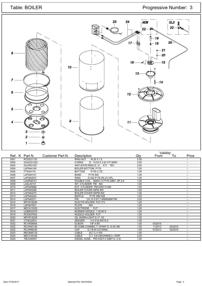### Table: BOILER **Progressive Number: 3**



|      | Ref. K Part N.   | Customer Part N. | Description                           | Qty  | From    | Validity:<br>To | Price                    |
|------|------------------|------------------|---------------------------------------|------|---------|-----------------|--------------------------|
| 0001 | RCDS21120        |                  | <b>RING NUT</b><br>M 26 X 1.5         | 2.00 |         |                 | $\overline{\phantom{a}}$ |
| 0002 | GUGO21222        |                  | O-RING<br>D. 15.54 X 2.62 VIT 80SH    | 2,00 |         |                 | $\overline{\phantom{a}}$ |
| 0003 | GUVR21021        |                  | ANTI-EXTR.RING D. 21 X17 TEF.         | 2,00 |         |                 | $\overline{\phantom{a}}$ |
| 0004 | LAFN44149        |                  | <b>BOILER BOTTOM P176</b>             | 1,00 |         |                 | $\overline{\phantom{a}}$ |
| 0005 | <b>ITTE44175</b> |                  | <b>BOTTOM</b><br>P176 C.TE            | 1,00 |         |                 | $\overline{\phantom{a}}$ |
| 0006 | LAFN44151        |                  | <b>BAND</b><br><b>P176 INX</b>        | 1,00 |         |                 | $\overline{\phantom{a}}$ |
| 0007 | LAFN40037        |                  | D.342 P176 ZN 2V.CPL.<br><b>RING</b>  | 1,00 |         |                 | $-$                      |
| 0008 | LAGR48101        |                  | DOUBLE COIL M26X1.5 P176 30MT, SP.2.6 | 1.00 |         |                 | $\overline{\phantom{a}}$ |
| 0009 | LASL40101        |                  | INT. CYLINDER PM INX                  | 1,00 |         |                 | $\overline{\phantom{a}}$ |
| 0010 | LAFN40688        |                  | EXT. CYLINDER PM-H35/7.5 INX          | 1,00 |         |                 | --                       |
| 0011 | LAFN40269        |                  | <b>BOILER COVER SIPM INX</b>          | 1,00 |         |                 | $\overline{\phantom{a}}$ |
| 0012 | LAFN40270        |                  | <b>BOILER COVER SEPM INX</b>          | 1,00 |         |                 | $\overline{\phantom{a}}$ |
| 0013 | <b>LAFN44244</b> |                  | <b>BAFFLE</b><br>P176 30M INX         | 1,00 |         |                 | $\overline{\phantom{a}}$ |
| 0014 | LAFN40271        |                  | CH.10 X 67.7 M5M/M5M PM<br>PIN        | 3,00 |         |                 | $\sim$                   |
| 0015 | <b>MFVR18226</b> |                  | ELECTR.HOLDER FUT 3°V                 | 1,00 |         |                 | $\sim$                   |
| 0016 | LAFN07641        |                  | <b>PLATE</b><br><b>INX</b>            | 1,00 |         |                 | $\overline{\phantom{a}}$ |
| 0017 | <b>MECA12525</b> |                  | <b>ELECTRODE</b><br><b>FUT</b>        | 1,00 |         |                 | $\overline{\phantom{a}}$ |
| 0018 | <b>UGBR22576</b> |                  | BURNER NOZZLE 1.35 60 S               | 1,00 |         |                 | $\overline{\phantom{a}}$ |
| 0019 | <b>RCDS07642</b> |                  | NOZZLE HOLDER FUT                     | 1,00 |         |                 | $\overline{\phantom{a}}$ |
| 0020 | <b>MPVR18228</b> |                  | OIL WARN-LIGHT D.17 X3                | 1,00 |         |                 | $\overline{\phantom{a}}$ |
| 0021 | <b>VTAE22633</b> |                  | <b>SEEGER</b><br>0.4 X18,30X10,5      | 1,00 |         |                 | $\overline{\phantom{a}}$ |
| 0022 | <b>RCVR08954</b> |                  | <b>ELBOW</b><br>$1/8" - 4B5$          | 1,00 | 03/2015 |                 | $\overline{\phantom{a}}$ |
| 0022 | <b>RCVR40126</b> |                  | BI-CONE CONNEC.T 1/8"M/F D. 4/ 6C NK. | 1,00 | 11/2013 | 02/2015         | $\overline{\phantom{a}}$ |
| 0022 | RCVR89230        |                  | CAP<br>G 1/8 M C/O-RING.              | 1,00 | 07/2013 | 02/2015         | $\sim$                   |
| 0023 | MECB46130        |                  | CABLE<br><b>DLT L=1100</b>            | 1,00 |         |                 | $-$                      |
| 0024 | <b>MECV35335</b> |                  | CABLE<br>A.T. 9.8-23KOHM/M L= 500P    | 2,00 |         |                 | $\hspace{0.05cm}$        |
| 0025 | <b>TBCO40057</b> |                  | DIESEL HOSE PW-H35/7.5 30MT D. 4 IX   | 1,00 |         |                 | $\overline{\phantom{a}}$ |
|      |                  |                  |                                       |      |         |                 |                          |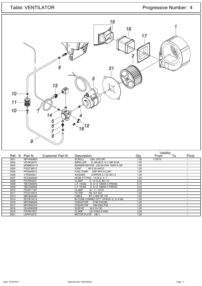## Table: VENTILATOR Progressive Number: 4



| Ref. K Part N.           | Customer Part N.<br>Description       | Qty                                            | Validity: <sub>To</sub><br>From | Price                    |
|--------------------------|---------------------------------------|------------------------------------------------|---------------------------------|--------------------------|
| 0001<br>MPVR40665        | CB4-2PZ.GR.<br><b>SCROLL</b>          | 1,00                                           | 11/2015                         | $\hspace{0.05cm}$        |
| <b>VEVR34275</b><br>0002 | <b>IMPELLER</b>                       | D.160-80 D.12.7 36P B.SX<br>1,00               |                                 | $\sim$                   |
| 0003<br>MOMB34119        | BURNER MOTOR 230-50 IP44 150W A.OR    | 1,00                                           |                                 | $\overline{\phantom{a}}$ |
| FGGT36513<br>0004        | <b>JOINT</b><br><b>HP 0.25 AACO</b>   | 1,00                                           |                                 | --                       |
| 0005<br>PPGS40010        | <b>FUEL PUMP</b>                      | DNF BFA 01L3R1<br>1,00                         |                                 | $- -$                    |
| 0006<br><b>VTRS04931</b> | <b>WASHER</b>                         | COPPER D.13X19X1.5<br>1,00                     |                                 | --                       |
| <b>RCDS00626</b><br>0007 | HOSE FITTING                          | 1/4 M D, 5-7<br>1,00                           |                                 | $\hspace{0.05cm}$        |
| <b>FSVR00427</b><br>0008 | <b>CLAMP</b>                          | D. 12 CLIC 66-110<br>2,00                      |                                 | --                       |
| TBCO06945<br>0009        | L.P. HOSE                             | D. 6-12 10 BAR C. PRESS<br>0,70                |                                 | --                       |
| TBCO06945<br>0009        | L.P. HOSE                             | D. 6-12 10 BAR C. PRESS<br>0,43                |                                 | --                       |
| <b>FSVR11197</b><br>0010 | <b>CLAMP</b><br>D.I. 11 13315         | 2,00                                           |                                 | --                       |
| FTCO10912<br>0011        | FB 13/T NYL.<br><b>FILTER</b>         | 1,00                                           |                                 | $\hspace{0.05cm}$        |
| 0013<br>MECB34463        | CABLE<br>BT L=800 SP. FD              | 1,00                                           |                                 | --                       |
| 0014<br><b>RCVR14014</b> |                                       | BI-CONE CONNEC.DTT 1/8"M B1 D. 2/4 NIK<br>1,00 |                                 | $\sim$                   |
| MPVR88426<br>0015        | <b>CONVEYOR</b>                       | P190 PA6 BK.<br>1,00                           |                                 | $- -$                    |
| 0017<br>MPVR40014        | <b>CONVEYOR</b>                       | CB4-FBX PA6<br>1,00                            |                                 | $\overline{\phantom{a}}$ |
| 0019<br>GUVR40009        | <b>SLEEVE</b><br>SLV H=130            | 1,00                                           |                                 | $- -$                    |
| 0019<br><b>FSVR01873</b> | <b>CLAMP</b><br>LG 31920 9 X500       | 2,00                                           |                                 | $\hspace{0.05cm}$        |
| 0021<br>LAFN10272        | CB <sub>3</sub><br><b>MOTOR PLATE</b> | 1,00                                           |                                 | $- -$                    |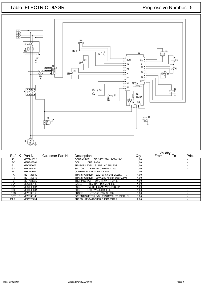## Table: ELECTRIC DIAGR. Progressive Number: 5



|                   |                  |                  |                                            |      | Validity: |    |                          |
|-------------------|------------------|------------------|--------------------------------------------|------|-----------|----|--------------------------|
|                   | Ref. K Part N.   | Customer Part N. | Description                                | Qty  | From      | To | Price                    |
| ĸ                 | METT40022        |                  | <b>CONTACTOR</b><br>SIE 3RT 2026-1AC20 24V | 1,00 |           |    | $\overline{\phantom{a}}$ |
| EV                | MEBE43704        |                  | DNF 24-50<br>COIL                          | 1,00 |           |    | $\hspace{0.05cm}$        |
| G <sub>1</sub>    | <b>MECI40006</b> |                  | SENSOR LEVEL S1.PML.XD.FPJ FST.            | 1,00 |           |    | $\overline{\phantom{a}}$ |
| G <sub>2</sub>    | <b>MECI34444</b> |                  | REED N.C.H185 L=1300<br><b>SWITCH</b>      | 1,00 |           |    | $- -$                    |
| IG                | <b>MECI40017</b> |                  | COMMUTAT.SWITCH0-1-2 UN.                   | 1,00 |           |    | $- -$                    |
| TA                | METR88630        |                  | TRANSFORMER 23/240V-5/60HZ 2X26KV TR.      | 1,00 |           |    |                          |
| <b>TR</b>         | METR40018        |                  | TRANSFORMER<br>25VA 230-400/24 5/60HZ PM   | 1,00 |           |    | $- -$                    |
| TS                | METK34839        |                  | <b>THERMOSTAT</b><br>60°C TR/711-N C.1.5   | 1,00 |           |    |                          |
| CV <sub>1</sub>   | MECB40146        |                  | CABLE<br>H07 RNF 4X2.5 L=6.800             | 1,00 |           |    |                          |
| EC <sub>1</sub>   | <b>MECE40044</b> |                  | <b>PCB</b><br>PW-H5 T-SI/MP V.PL.+CO-2P    | 1,00 |           |    | $- -$                    |
| EC <sub>2</sub>   | MECE40041        |                  | <b>PCB</b><br>LED PW 4/5 GR. FLT.          | 1,00 |           |    |                          |
| <b>NTC</b>        | MEVR40150        |                  | <b>PROBE</b><br>NTC/150 IP65 C.1000        | 1,00 |           |    | $\overline{\phantom{a}}$ |
| POT S             | MEVR40149        |                  | POTENTIOMETER VSH P11S1V0FLSY 5/10K LN.    | 1,00 |           |    | $\overline{\phantom{a}}$ |
| P <sub>1</sub> ,2 | MEPF76254        |                  | PRESSURE SWITCHPR 5 1/4M 25BAR             | 2,00 |           |    | $- -$                    |
|                   |                  |                  |                                            |      |           |    |                          |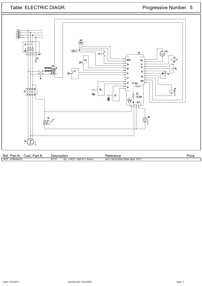

| Ref<br>Part N.<br>Par<br>JUST<br>ıv. | ⊃escription                                                                                | erence<br>''                           | Price |
|--------------------------------------|--------------------------------------------------------------------------------------------|----------------------------------------|-------|
| PO <sub>1</sub><br>KTRI40415<br>.    | <b>117</b><br>$\sim$<br>I P11 PW-H<br>$4 \overline{P}$<br>ົດ<br>VSH.<br>zu-<br>N.<br>,,,,, | <b>POT</b><br>0017 0018 0053 0054 0055 | $- -$ |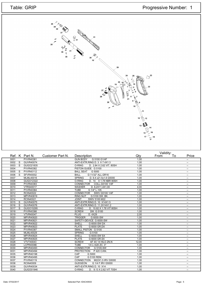| $\begin{array}{c}\n40 \\ 39 \\ 38\n\end{array}$<br>37<br>$\bigcirc$ <sub>e</sub> 31<br>31<br>28 <sup>6</sup><br>$\begin{array}{c}\n\begin{array}{c}\n\searrow \\ \searrow \\ \searrow \\ \searrow \\ 35\n\end{array}\n\end{array}$<br>31<br>$\begin{matrix}\n30 \\ 10\n\end{matrix}$<br>$\tilde{\phantom{a}}$                                           |  |
|---------------------------------------------------------------------------------------------------------------------------------------------------------------------------------------------------------------------------------------------------------------------------------------------------------------------------------------------------------|--|
| 29<br>$\mathbb{S}^{^{23}}$<br>24<br>25<br>$\overline{a}$<br>19<br>$\frac{20}{20}$ 10<br>19<br>$\bf{22}$<br>27<br>可<br>28<br>$\int_{\mathbb{S}^7}$<br>D<br>6 <sup>1</sup><br>$\overline{21}$<br>8<br>26                                                                                                                                                  |  |
| $\begin{array}{c}\n\circ \\ \circ \\ \circ\n\end{array}$<br>م<br>$\backslash$ 11<br>$\begin{array}{r} \n\begin{array}{r}\n12 \\ 13\n\end{array}\n\end{array}\n\qquad\n\begin{array}{r}\n14 \\ \begin{array}{r}\n15\n\end{array}\n\end{array}\n\end{array}\n\qquad\n\begin{array}{r}\n16 \\ \begin{array}{r}\n17\n\end{array}\n\end{array}\n\end{array}$ |  |

|      |                         | Ref. K Part N.   | Customer Part N. | Description                             | Qty   | Validity:<br>To<br>From | Price                    |
|------|-------------------------|------------------|------------------|-----------------------------------------|-------|-------------------------|--------------------------|
| 0001 |                         | PVVR40381        |                  | <b>GUN BODY</b><br>G 5100 G1/4F         | 1.00  |                         | $\overline{\phantom{a}}$ |
| 0002 | $\overline{\mathbf{s}}$ | <b>GUVR40074</b> |                  | ANTI-EXTR.RING D. 3 X 7.4X1.3           | 1,00  |                         | $\overline{\phantom{a}}$ |
| 0003 | $\overline{\mathbf{s}}$ | GUGO21835        |                  | O-RING<br>D. 2.84 X 2.62 VIT. 80SH      | 1,00  |                         | $\overline{\phantom{a}}$ |
| 0004 |                         | PVVR40382        |                  | PISTON GUIDE G 5100                     | 1,00  |                         | $\overline{\phantom{a}}$ |
| 0005 | $\overline{\mathsf{s}}$ | <b>PVVR40112</b> |                  | <b>BALL SEAT</b><br>G 5000              | 1,00  |                         | Ξ.                       |
| 0006 | <sub>S</sub>            | <b>SFVR40002</b> |                  | D.11/32" ALL.GR16<br><b>BALL</b>        | 1,00  |                         | $\overline{\phantom{a}}$ |
| 0007 |                         | MLML40016        |                  | <b>SPRING</b><br>D. 9.4 x21.5x1.6 G5000 | 1,00  |                         | $\overline{\phantom{a}}$ |
| 0008 |                         | GUGO12322        |                  | O-RING<br>D. 14 X 1.78 NBR 90SH         | 1,00  |                         | $\overline{\phantom{a}}$ |
| 0009 |                         | <b>PVVR40383</b> |                  | <b>CONNECTOR</b><br>COLL.G5100 1/4F     | 1,00  |                         | $\overline{\phantom{a}}$ |
| 0010 |                         | <b>VTRS40017</b> |                  | <b>WASHER</b><br>D. 8,2X11,4X1,00       | 4,00  |                         | $\overline{\phantom{a}}$ |
| 0011 |                         | <b>PVVR40384</b> |                  | <b>TUBE</b><br>G 1/4" L.105             | 1,00  |                         | $\overline{\phantom{a}}$ |
| 0012 |                         | <b>RCIN40022</b> |                  | <b>CONNECTOR</b><br>SWIV G5100 1/4F     | 1,00  |                         | $\overline{\phantom{a}}$ |
| 0013 |                         | MPVR40819        |                  | G 5100 SW. BK.<br><b>RING NUT</b>       | 1.00  |                         | $\overline{\phantom{a}}$ |
| 0014 |                         | <b>RCIN40021</b> |                  | <b>JOINT</b><br><b>SWIV 5100 M22</b>    | 1,00  |                         | $\overline{\phantom{a}}$ |
| 0015 | $\overline{\mathbf{s}}$ | <b>GUVR40075</b> |                  | ANTI-EXTR.RING D. 10 X14X1.5            | 1,00  |                         | $\overline{\phantom{a}}$ |
| 0016 | $\overline{\mathbf{s}}$ | GUVR40076        |                  | ANTI-EXTR.RING D. 11.2X14X1.2           | 1,00  |                         | $\overline{\phantom{a}}$ |
| 0017 | <sub>S</sub>            | GUGO15295        |                  | D. 10.82 X 1.78 VIT 80SH<br>O-RING      | 1,00  |                         | Ξ.                       |
| 0018 |                         | PVVR40386        |                  | <b>SCREW</b><br>SW. G 5100              | 1.00  |                         | $\overline{\phantom{a}}$ |
| 0019 |                         | <b>VTVR40047</b> |                  | <b>PLUG</b><br>D. 4X29                  | 2,00  |                         | $\overline{\phantom{a}}$ |
| 0020 |                         | MPVR40820        |                  | <b>TRIGGER</b><br>G 6000-SW             | 1,00  |                         | $\overline{\phantom{a}}$ |
| 0021 |                         | MPVR40821        |                  | SAFETY-DEVICE G 6000-SW                 | 1,00  |                         | $\overline{\phantom{a}}$ |
| 0022 |                         | MPVR40822        |                  | <b>SHELL</b><br>G 6000-SW DX            | 1,00  |                         | $\overline{\phantom{a}}$ |
| 0023 |                         | MPVR40823        |                  | <b>PLATE</b><br>G 6000 GR.DX            | 1,00  |                         | $\overline{\phantom{a}}$ |
| 0024 |                         | <b>PVVR40387</b> |                  | SMALL PISTON G 5100                     | 1.00  |                         | $\overline{\phantom{a}}$ |
| 0025 |                         | MLML40029        |                  | <b>SPRING</b><br>G 5100                 | 1,00  |                         | $\overline{\phantom{a}}$ |
| 0026 |                         | MPVR40824        |                  | SHELL<br>G 6000-SW SX                   | 1,00  |                         | $\overline{\phantom{a}}$ |
| 0027 |                         | MPVR40825        |                  | <b>PLATE</b><br>G 6000 GR.SX            | 1,00  |                         | $\overline{\phantom{a}}$ |
| 0028 |                         | VTVT40043        |                  | AF 4X 14 HILO ZN.N<br><b>SCREW</b>      | 12,00 |                         | $\overline{\phantom{a}}$ |
| 0029 |                         | LCPR40086        |                  | <b>TUBE</b><br>1/4 L=420 ZC. 0°         | 1,00  |                         | $\overline{\phantom{a}}$ |
| 0030 |                         | MPVR40493        |                  | <b>CONNECTOR</b><br>G 5100-SW           | 1,00  |                         | $\overline{\phantom{a}}$ |
| 0031 |                         | MPVR40494        |                  | <b>PROTECTION</b><br>P 420 C/AN.        | 1,00  |                         | $\overline{\phantom{a}}$ |
| 0035 |                         | MPVR40198        |                  | CAP<br>G 5000                           | 1,00  |                         | $\overline{\phantom{a}}$ |
| 0036 |                         | MPVR40495        |                  | CAP<br>G 5100 REM.                      | 1,00  |                         | $\sim$                   |
| 0037 |                         | PVVR40119        |                  | CONNECTION<br>M22X1,5 IRV G5000         | 1,00  |                         | $\overline{\phantom{a}}$ |
| 0038 |                         | <b>RCIN40009</b> |                  | <b>GUDGEON</b><br>G 1/4 F IRV G5000     | 1.00  |                         | $\overline{\phantom{a}}$ |
| 0039 |                         | GUVR40034        |                  | ANTI-EXTR.RING D. 10 X14                | 1,00  |                         | $\overline{\phantom{a}}$ |
| 0040 |                         | GUGO01946        |                  | O-RING<br>D. 9.13 X 2.62 VIT 70SH       | 1,00  |                         | $\overline{\phantom{a}}$ |
|      |                         |                  |                  |                                         |       |                         |                          |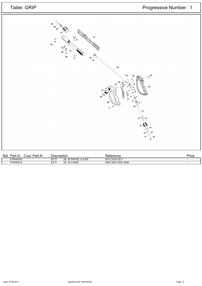| Table: GRIP               |                                                                                                                                                                                                                                                                                                                                                                                                                                                                                                           | Progressive Number: 1 |
|---------------------------|-----------------------------------------------------------------------------------------------------------------------------------------------------------------------------------------------------------------------------------------------------------------------------------------------------------------------------------------------------------------------------------------------------------------------------------------------------------------------------------------------------------|-----------------------|
|                           | 40<br>$39^{\circ}$<br>38<br>$\bigcirc$ 31<br>31<br>$28^7$<br>$\tilde{\phantom{a}}$<br>31<br>36<br>ę<br>$rac{20}{\sqrt{2}}$<br>$\frac{1}{35}$<br>$10$<br>29<br>$\mathbb{S}^{^{23}}$<br>24<br>25<br>$\begin{array}{c} 20 \ \hline \end{array}$ $\begin{array}{c} 10 \ \hline \end{array}$<br>19<br>19<br>22<br>27<br>28<br>6<br>$\mathbf{F}^{\mathbf{7}}$<br>$\overline{21}$<br>8<br>10 <sup>2</sup><br>-11<br>$10^{3}$ $\frac{2}{3}$ $12$<br>$13-1$<br>15<br>17 <sup>2</sup><br>$\mathbb{R}$ <sup>18</sup> |                       |
| Dof Dort N. Cupt. Dort N. | <b>Deference</b><br>Doogription                                                                                                                                                                                                                                                                                                                                                                                                                                                                           | Drioo                 |

| Rei<br>Part <sup>r</sup><br>′Cust.<br>سہر<br>- 18<br>N<br>$\mathbf{d}$ | uption        |                                            | terence                | -<br>Price |
|------------------------------------------------------------------------|---------------|--------------------------------------------|------------------------|------------|
| KTRI40243                                                              | $\sim$<br>ΙМ. | G 5100<br>SWIVEL<br>$26 -$<br>$\sim$<br>zo | 5 0016 0017<br>0015    | $-$        |
| KTRI40414                                                              | 1717<br>M     | 34 G 6000<br>$26 -$                        | 9003 0005 0006<br>0002 | $- -$      |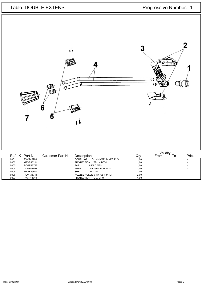Table: DOUBLE EXTENS. Table: DOUBLE EXTENS.



|                |                  |                  |                                          |       | Validity:       |                          |
|----------------|------------------|------------------|------------------------------------------|-------|-----------------|--------------------------|
| Ref. K Part N. |                  | Customer Part N. | Description                              | Qty   | From<br>$\circ$ | Price                    |
| 0001           | <b>PVVR45296</b> |                  | G 1/4M -M22 M +PR.PLS<br><b>COUPLING</b> | 00, ا |                 | $- -$                    |
| 0002           | MPVR45214        |                  | <b>PROTECTION</b><br><b>TB.1/4 MTM</b>   | 1.00  |                 | $\overline{\phantom{a}}$ |
| 0003           | <b>RCGR45737</b> |                  | <b>TAP</b><br>1/8 F LD MTM               | 1.00  |                 | $\overline{\phantom{a}}$ |
| 0004           | LCPR45740        |                  | TUBE<br>1/8 L=660 INOX MTM               | 2,00  |                 | $- -$                    |
| 0005           | <b>MPVR45001</b> |                  | SHELL<br>LD MTM                          | 1.00  |                 | $\overline{\phantom{a}}$ |
| 0006           | <b>RCVR45741</b> |                  | NOZZLE HOLDER 1/4-1/8 F MTM              | 2,00  |                 | $- -$                    |
| 0007           | PVVR43810        |                  | <b>PROTECTION</b><br>L.D. MTM            | 00, ا |                 | $- -$                    |
|                |                  |                  |                                          |       |                 |                          |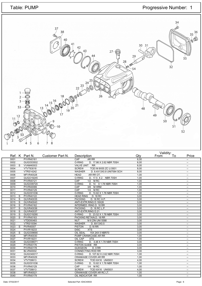

|                                 | Ref. K Part N.   | Customer Part N. | Description                                | Qty  | From | Validity:<br>To | Price                              |
|---------------------------------|------------------|------------------|--------------------------------------------|------|------|-----------------|------------------------------------|
| 0001                            | <b>PVVR40161</b> |                  | CAP<br>AR RR                               | 6.00 |      |                 | $\overline{\phantom{a}}$           |
| 0002                            | GUGO03502        |                  | O-RING<br>D. 17.86 X 2.62 NBR 70SH         | 6.00 |      |                 | --                                 |
| 0003<br><b>S</b>                | VVAM40003        |                  | VALVE UNIT RR                              | 6,00 |      |                 | $\overline{\phantom{a}}$           |
| 0004                            | VTVT63018        |                  | TCEI M 8X55 ZC U.5931<br><b>SCREW</b>      | 8,00 |      |                 | $\overline{\phantom{a}}$           |
| 0005                            | <b>VTRS14242</b> |                  | <b>WASHER</b><br>D. 8.4X13X0.8 UNI7064 SCH | 8.00 |      |                 | $\overline{\phantom{a}}$           |
| 0006                            | <b>MFVR40028</b> |                  | <b>HEAD</b><br>AR RR OT.                   | 1,00 |      |                 | $\overline{\phantom{a}}$           |
| 0007                            | GUGO19245        |                  | D. 17.5 X 2 NBR 70SH<br>O-RING             | 1,00 |      |                 | $\overline{\phantom{a}}$           |
| 0008                            | PVVR40121        |                  | CAP<br>$1/2$ MRC                           | 1.00 |      |                 | --                                 |
| 0009                            | GUGO09720        |                  | O-RING<br>D. 14 X 1.78 NBR 70SH            | 1,00 |      |                 | $\overline{\phantom{a}}$           |
| 0010                            | <b>PVVR40099</b> |                  | 3/8 M HRM<br>CAP                           | 1,00 |      |                 | $\overline{\phantom{a}}$           |
| 0011                            | <b>PVVR40129</b> |                  | CAP<br>$1/4$ MRC                           | 1,00 |      |                 | $\overline{\phantom{m}}$           |
| 0012                            | GUGO01036        |                  | O-RING<br>D. 10.82 X 1.78 NBR 70SH         | 1,00 |      |                 | $\overline{\phantom{a}}$           |
| 0013<br>$\overline{\mathbf{s}}$ | <b>PVVR40122</b> |                  | <b>HEAD RING</b><br>D. 18 RC               | 3,00 |      |                 | $\overline{\phantom{a}}$           |
| 0014<br>- S                     | GUVR40035        |                  | <b>PACKING</b><br>D. 18 RC H.P.            | 3.00 |      |                 | --                                 |
| S.<br>0015                      | GUVR40043        |                  | ANTI-EXTR.RING D.18X28                     | 3,00 |      |                 | $\overline{\phantom{a}}$           |
| $\overline{\mathbf{s}}$<br>0016 | <b>PVVR40162</b> |                  | <b>INTERMED. RING D. 18 RR</b>             | 3,00 |      |                 | $\overline{\phantom{a}}$           |
| $\overline{\mathbf{s}}$<br>0017 | GUVR40036        |                  | <b>PACKING</b><br>D. 18 RC L.P.            | 3.00 |      |                 | $\overline{\phantom{m}}$           |
| - S<br>0018                     | GUVR40037        |                  | ANTI-EXTR.RING D.21                        | 3,00 |      |                 | $\overline{\phantom{a}}$           |
| $\overline{\mathbf{s}}$<br>0019 | GUGO19290        |                  | D. 23.52 X 1.78 NBR 70SH<br>O-RING         | 3,00 |      |                 | $\overline{\phantom{a}}$           |
| 0020<br>-S                      | PVVR40163        |                  | PACKING RETAIN.D. 18 RR                    | 3.00 |      |                 | --                                 |
| 0021                            | VTDD00483        |                  | <b>NUT</b><br>M 8 ZIN UNI 5588             | 3,00 |      |                 | $\overline{\phantom{a}}$           |
| 0022                            | <b>VTRS19394</b> |                  | <b>WASHER</b><br>D. 8X13X0.5               | 3,00 |      |                 | $\overline{\phantom{a}}$           |
| $\overline{\mathbf{s}}$<br>0023 | <b>PIVR40007</b> |                  | <b>PISTON</b><br><b>D.18 RR</b>            | 3.00 |      |                 | --                                 |
| 0024                            | <b>PVVR19233</b> |                  | <b>XTS</b><br><b>DISC</b>                  | 3,00 |      |                 | --                                 |
| 0025<br>-S                      | GUGO09690        |                  | <b>OIL SEAL</b><br>15X 24X 5 NBR70         | 3,00 |      |                 | $\overline{\phantom{a}}$           |
| 0026                            | MFVR40030        |                  | PUMP CRANKCASE AR RR                       | 1,00 |      |                 | $\overline{\phantom{a}}$           |
| 0027                            | PVVR19231        |                  | <b>XTS</b><br>OIL CAP                      | 1,00 |      |                 | $\overline{\phantom{a}}$           |
| 0028                            | GUGO08071        |                  | O-RING<br>D. 4.48 X 1.78 NBR 70SH          | 3,00 |      |                 | $\overline{\phantom{a}}$           |
| 0029                            | <b>PVVR40176</b> |                  | PISTON GUIDE RR                            | 3.00 |      |                 | $\overline{\phantom{a}}$           |
| 0030                            | PVVR40178        |                  | <b>GUDGEON</b><br><b>D. 9 RR</b>           | 3,00 |      |                 | $\overline{\phantom{m}}$           |
| 0031                            | <b>BLVR40002</b> |                  | CONNECTING ROD RR                          | 3,00 |      |                 | $\overline{\phantom{a}}$           |
| 0032                            | GUGO40017        |                  | D. 107.62 X 2.62 NBR 70SH<br>O-RING        | 1,00 |      |                 | $\overline{\phantom{a}}$           |
| 0033                            | MFVR40029        |                  | <b>CRANKASE COVER AR RR</b>                | 1,00 |      |                 | $\overline{\phantom{a}}$           |
| 0034                            | VTVT09913        |                  | <b>SCREW</b><br>TCEI 6X16 UNI5931          | 4,00 |      |                 | $\overline{\phantom{a}}$           |
| 0035                            | GUGO01036        |                  | O-RING<br>D. 10.82 X 1.78 NBR 70SH         | 1.00 |      |                 | $\overline{\phantom{a}}$           |
| 0036                            | PVVR40129        |                  | $1/4$ MRC<br>CAP                           | 1,00 |      |                 | $\overline{\phantom{m}}$           |
| 0037                            | VTVT09913        |                  | TCEI 6X16 UNI5931<br><b>SCREW</b>          | 4,00 |      |                 | $\sim$                             |
| 0038                            | <b>MFVR40021</b> |                  | CRANKASE COVER AR RC LT.                   | 1,00 |      |                 | $\hspace{0.05cm} -\hspace{0.05cm}$ |
| 0040                            | PVVR40179        |                  | OIL INDICATOR RR                           | 1.00 |      |                 | $\overline{\phantom{a}}$           |

Date: 07/02/2017 **Page: 6** Page: 6 Part: IDAC40933 Selected Part: IDAC40933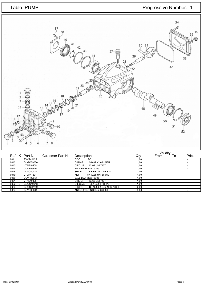| Table: PUMP                                                                                                                                                                                                                                           | Progressive Number: 1                                                                       |
|-------------------------------------------------------------------------------------------------------------------------------------------------------------------------------------------------------------------------------------------------------|---------------------------------------------------------------------------------------------|
| 37<br>38<br>40<br>41<br>42<br>43<br>27<br>44<br>$24^{25}$<br>23<br>2,2                                                                                                                                                                                | 34<br>36<br>3,5<br>$\mathbb{Q}_{\phi}$<br>30 31<br>29<br>33<br>28<br><b>Leg</b><br>32<br>54 |
| <b>Dee</b><br>18<br>26<br>$\frac{2}{3}$<br>Û<br>16<br>15<br>$\begin{array}{c} 1 \\ 19 \end{array}$ 20 $\begin{array}{c} 2 \\ 2 \end{array}$<br>14<br>$53 -$<br>1 <sub>3</sub><br>17<br>12<br>$\frac{11}{90}$<br>9<br>霭<br>53<br>8<br>5<br>6<br>7<br>4 | 48<br>49<br>50<br>5 <sup>1</sup><br>52                                                      |

|                |                  |                                    |      | Validity:  |                          |
|----------------|------------------|------------------------------------|------|------------|--------------------------|
| Ref. K Part N. | Customer Part N. | Description                        | Qty  | To<br>From | Price                    |
| 0041           | <b>PVVR40125</b> | <b>RC</b><br><b>DISC</b>           | 1,00 |            | $\sim$                   |
| 0042           | GUGO09030        | 56X82 X2.62 - NBR<br>O-RING        | 1,00 |            | $\overline{\phantom{m}}$ |
| 0043           | <b>VTAE10405</b> | <b>CIRCLIP</b><br>D. 62 UNI 7437   | 1,00 |            | $- -$                    |
| 0044           | <b>CUVR09654</b> | BALL BEARING 6305                  | 1,00 |            | $\overline{\phantom{a}}$ |
| 0048           | ALMO40012        | AR RR 15LT VRS. N<br><b>SHAFT</b>  | 1,00 |            | $\overline{\phantom{a}}$ |
| 0049           | <b>VTVR41531</b> | <b>KEY</b><br>8X 7X35 UNI 6604A    | 1,00 |            | $- -$                    |
| 0050           | <b>CUVR09654</b> | BALL BEARING 6305                  | 1,00 |            | $\overline{\phantom{a}}$ |
| 0051           | <b>VTAE10405</b> | <b>CIRCLIP</b><br>D. 62 UNI 7437   | 1,00 |            | $\overline{\phantom{a}}$ |
| 0052           | GUGO40018        | 25X 62X 8 NBR70<br>OIL SEAL        | 1,00 |            | $\overline{\phantom{a}}$ |
| 0053           | GUGO02259        | O-RING<br>D. 15.54 X 2.62 NBR 70SH | 6,00 |            | $\overline{\phantom{a}}$ |
| 0054           | GUVR40044        | ANTI-EXTR.RING D. 5 X 8 X1         | 3,00 |            | $\overline{\phantom{a}}$ |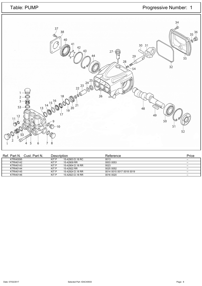

| Ref. Part N.<br>Cust. Part N. | Description |                  | Reference                | Price                    |
|-------------------------------|-------------|------------------|--------------------------|--------------------------|
| <b>KTRI40095</b>              | KIT P       | 15-42903 D.18 RC | 0013                     | $\overline{\phantom{a}}$ |
| KTRI40142                     | KIT P       | 15-42909 RR      | 0003 0053                | $- -$                    |
| KTRI40143                     | KIT P       | 15-42904 D.18 RR | 0023                     | $- -$                    |
| KTRI40144                     | KIT P       | 15-42922 RR      | 0025 0052                | $\overline{\phantom{a}}$ |
| KTRI40145                     | KIT P       | 15-42924 D.18 RR | 0014 0015 0017 0018 0019 | $- -$                    |
| KTRI40146                     | KIT P       | 15-42923 D.18 RR | 0016 0020                | $- -$                    |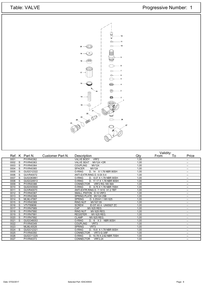

|      |     |                  |                  |                                            |      | Validity: To |                          |
|------|-----|------------------|------------------|--------------------------------------------|------|--------------|--------------------------|
|      |     | Ref. K Part N.   | Customer Part N. | Description                                | Qty  | From         | Price                    |
| 0001 |     | PVVR40362        |                  | <b>VALVE BODY</b><br>VRF <sub>2</sub>      | 1.00 |              | $\overline{a}$           |
| 0002 | -S  | PVVR40363        |                  | <b>VALVE SEAT</b><br>MV124 +OR             | 1,00 |              | $-$                      |
| 0003 | -S  | PVVR40364        |                  | <b>MV124</b><br><b>COUPLING</b>            | 1,00 |              | --                       |
| 0004 | S   | PVVR40365        |                  | <b>MV124</b><br><b>SPACER</b>              | 1,00 |              | --                       |
| 0005 | S.  | GUGO12322        |                  | D. 14 X 1.78 NBR 90SH<br>O-RING            | 1,00 |              | $\overline{\phantom{a}}$ |
| 0006 | S   | GUVR40072        |                  | ANTI-EXTR.RING D. 6.5X 9.4                 | 1,00 |              | --                       |
| 0007 | S   | GUGO83861        |                  | O-RING<br>D. 6.07 X 1.78 NBR 90SH          | 1,00 |              | $-$                      |
| 0008 | S   | GUGO24913        |                  | D. 17.17 X 1.78 NBR 90SH<br>O-RING         | 1,00 |              | --                       |
| 0009 | S   | PVVR40388        |                  | <b>VRF2 RG.165 56A</b><br><b>CONNECTOR</b> | 1,00 |              | $\overline{\phantom{a}}$ |
| 0010 | S   | GUGO03500        |                  | D. 6.75 X 1.78 NBR 70SH<br>O-RING          | 1,00 |              | $\overline{\phantom{a}}$ |
| 0011 | -S  | GUVR40073        |                  | ANTI-EXTR.RING D. 7.1X10 X1.2 TBT          | 1,00 |              | --                       |
| 0012 | -S  | PVVR40367        |                  | SMALL PISTON D.10 VRF2                     | 1,00 |              | --                       |
| 0013 | -S  | <b>PVVR40368</b> |                  | SPRING PLATE MV124 25B                     | 1,00 |              | $- -$                    |
| 0014 | - S | <b>MLML47987</b> |                  | <b>SPRING</b><br>D. 3.25X41.1 MV 625       | 1,00 |              | --                       |
| 0015 | -S  | PVVR40369        |                  | MV167.09<br><b>RING NUT</b>                | 1,00 |              | --                       |
| 0016 | S   | <b>VTVT89696</b> |                  | EI-ST 4X 4 UNI5927 ZC<br><b>SCREW</b>      | 1,00 |              | $\overline{\phantom{a}}$ |
| 0017 | S   | <b>PVVR47989</b> |                  | CAP<br>MV 625 REG.                         | 1,00 |              | --                       |
| 0018 | S   | <b>PVVR47990</b> |                  | <b>RING NUT</b><br>MV 625 REG.             | 1,00 |              | --                       |
| 0019 | -S  | <b>PVVR47991</b> |                  | <b>REGISTER</b><br>MV 625 REG.             | 1,00 |              | --                       |
| 0020 | -S  | <b>PVVR47992</b> |                  | <b>CLAMP</b><br>MV 625 REG.                | 1,00 |              | --                       |
| 0021 | S.  | GUGO46053        |                  | D. 6 X 3 NBR 90SH<br>O-RING                | 1,00 |              | --                       |
| 0022 |     | PVVR40349        |                  | VRT <sub>3</sub><br><b>COUPLING</b>        | 1,00 |              | $- -$                    |
| 0023 |     | MLML40026        |                  | <b>SPRING</b><br>VRT <sub>3</sub>          | 1,00 |              | --                       |
| 0024 | -S  | GUGO12321        |                  | O-RING<br>D. 15.6 X 1.78 NBR 90SH          | 1,00 |              | --                       |
| 0025 |     | PVVR40350        |                  | CONNECTOR<br><b>VRT3 G 3/8F</b>            | 1,00 |              | --                       |
| 0026 |     | GUGO11225        |                  | O-RING<br>D. 10.78 X 2.62 NBR 70SH         | 1,00 |              | --                       |
| 0027 |     | PVVR40373        |                  | <b>CONNECTOR</b><br><b>VRF2.24</b>         | 1.00 |              | $- -$                    |